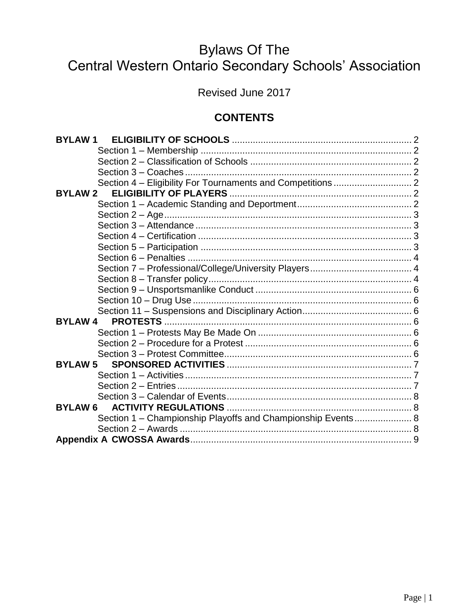# **Bylaws Of The** Central Western Ontario Secondary Schools' Association

Revised June 2017

# **CONTENTS**

| <b>BYLAW1</b>                                               |  |
|-------------------------------------------------------------|--|
|                                                             |  |
|                                                             |  |
|                                                             |  |
|                                                             |  |
| <b>BYLAW 2</b>                                              |  |
|                                                             |  |
|                                                             |  |
|                                                             |  |
|                                                             |  |
|                                                             |  |
|                                                             |  |
|                                                             |  |
|                                                             |  |
|                                                             |  |
|                                                             |  |
|                                                             |  |
| <b>BYLAW 4</b>                                              |  |
|                                                             |  |
|                                                             |  |
|                                                             |  |
| <b>BYLAW 5</b>                                              |  |
|                                                             |  |
|                                                             |  |
|                                                             |  |
| <b>BYLAW 6</b>                                              |  |
| Section 1 - Championship Playoffs and Championship Events 8 |  |
|                                                             |  |
|                                                             |  |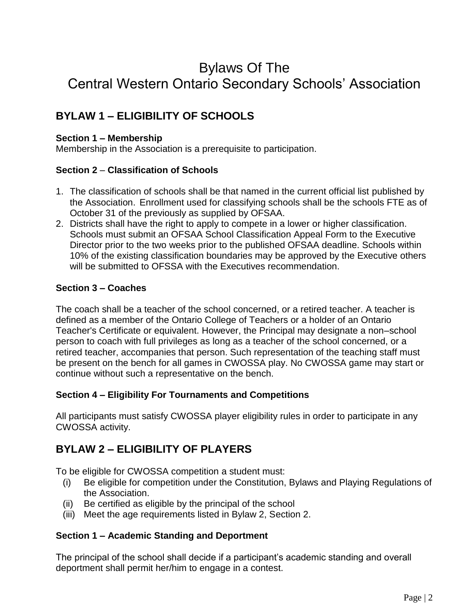# Bylaws Of The Central Western Ontario Secondary Schools' Association

# **BYLAW 1 – ELIGIBILITY OF SCHOOLS**

#### **Section 1 – Membership**

Membership in the Association is a prerequisite to participation.

#### **Section 2** – **Classification of Schools**

- 1. The classification of schools shall be that named in the current official list published by the Association. Enrollment used for classifying schools shall be the schools FTE as of October 31 of the previously as supplied by OFSAA.
- 2. Districts shall have the right to apply to compete in a lower or higher classification. Schools must submit an OFSAA School Classification Appeal Form to the Executive Director prior to the two weeks prior to the published OFSAA deadline. Schools within 10% of the existing classification boundaries may be approved by the Executive others will be submitted to OFSSA with the Executives recommendation.

#### **Section 3 – Coaches**

The coach shall be a teacher of the school concerned, or a retired teacher. A teacher is defined as a member of the Ontario College of Teachers or a holder of an Ontario Teacher's Certificate or equivalent. However, the Principal may designate a non–school person to coach with full privileges as long as a teacher of the school concerned, or a retired teacher, accompanies that person. Such representation of the teaching staff must be present on the bench for all games in CWOSSA play. No CWOSSA game may start or continue without such a representative on the bench.

#### **Section 4 – Eligibility For Tournaments and Competitions**

All participants must satisfy CWOSSA player eligibility rules in order to participate in any CWOSSA activity.

## **BYLAW 2 – ELIGIBILITY OF PLAYERS**

To be eligible for CWOSSA competition a student must:

- (i) Be eligible for competition under the Constitution, Bylaws and Playing Regulations of the Association.
- (ii) Be certified as eligible by the principal of the school
- (iii) Meet the age requirements listed in Bylaw 2, Section 2.

#### **Section 1 – Academic Standing and Deportment**

The principal of the school shall decide if a participant's academic standing and overall deportment shall permit her/him to engage in a contest.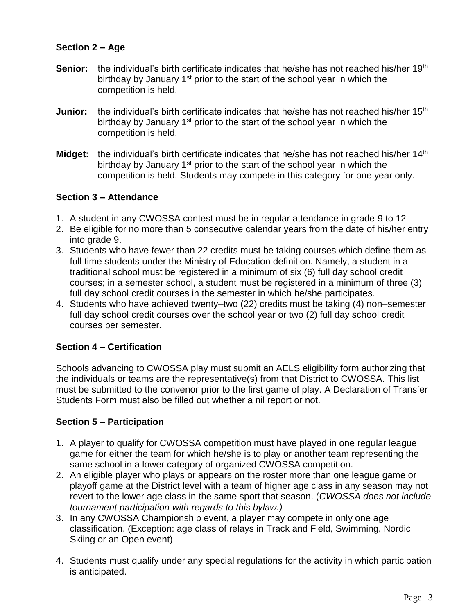#### **Section 2 – Age**

- **Senior:** the individual's birth certificate indicates that he/she has not reached his/her 19<sup>th</sup> birthday by January 1<sup>st</sup> prior to the start of the school year in which the competition is held.
- **Junior:** the individual's birth certificate indicates that he/she has not reached his/her 15<sup>th</sup> birthday by January 1<sup>st</sup> prior to the start of the school year in which the competition is held.
- **Midget:** the individual's birth certificate indicates that he/she has not reached his/her 14<sup>th</sup> birthday by January 1<sup>st</sup> prior to the start of the school year in which the competition is held. Students may compete in this category for one year only.

#### **Section 3 – Attendance**

- 1. A student in any CWOSSA contest must be in regular attendance in grade 9 to 12
- 2. Be eligible for no more than 5 consecutive calendar years from the date of his/her entry into grade 9.
- 3. Students who have fewer than 22 credits must be taking courses which define them as full time students under the Ministry of Education definition. Namely, a student in a traditional school must be registered in a minimum of six (6) full day school credit courses; in a semester school, a student must be registered in a minimum of three (3) full day school credit courses in the semester in which he/she participates.
- 4. Students who have achieved twenty–two (22) credits must be taking (4) non–semester full day school credit courses over the school year or two (2) full day school credit courses per semester*.*

#### **Section 4 – Certification**

Schools advancing to CWOSSA play must submit an AELS eligibility form authorizing that the individuals or teams are the representative(s) from that District to CWOSSA. This list must be submitted to the convenor prior to the first game of play. A Declaration of Transfer Students Form must also be filled out whether a nil report or not.

#### **Section 5 – Participation**

- 1. A player to qualify for CWOSSA competition must have played in one regular league game for either the team for which he/she is to play or another team representing the same school in a lower category of organized CWOSSA competition.
- 2. An eligible player who plays or appears on the roster more than one league game or playoff game at the District level with a team of higher age class in any season may not revert to the lower age class in the same sport that season. (*CWOSSA does not include tournament participation with regards to this bylaw.)*
- 3. In any CWOSSA Championship event, a player may compete in only one age classification. (Exception: age class of relays in Track and Field, Swimming, Nordic Skiing or an Open event)
- 4. Students must qualify under any special regulations for the activity in which participation is anticipated.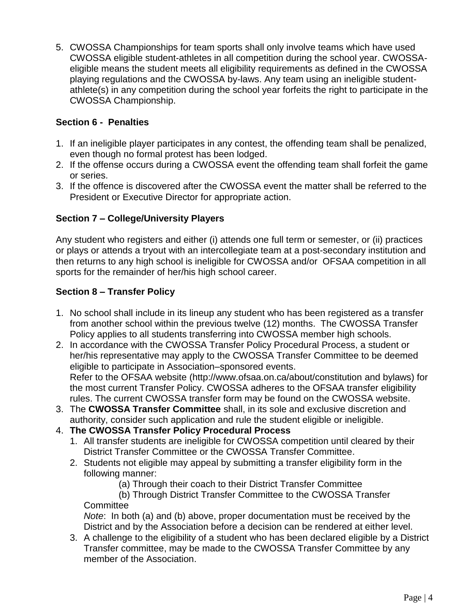5. CWOSSA Championships for team sports shall only involve teams which have used CWOSSA eligible student-athletes in all competition during the school year. CWOSSAeligible means the student meets all eligibility requirements as defined in the CWOSSA playing regulations and the CWOSSA by-laws. Any team using an ineligible studentathlete(s) in any competition during the school year forfeits the right to participate in the CWOSSA Championship.

#### **Section 6 - Penalties**

- 1. If an ineligible player participates in any contest, the offending team shall be penalized, even though no formal protest has been lodged.
- 2. If the offense occurs during a CWOSSA event the offending team shall forfeit the game or series.
- 3. If the offence is discovered after the CWOSSA event the matter shall be referred to the President or Executive Director for appropriate action.

#### **Section 7 – College/University Players**

Any student who registers and either (i) attends one full term or semester, or (ii) practices or plays or attends a tryout with an intercollegiate team at a post-secondary institution and then returns to any high school is ineligible for CWOSSA and/or OFSAA competition in all sports for the remainder of her/his high school career.

#### **Section 8 – Transfer Policy**

- 1. No school shall include in its lineup any student who has been registered as a transfer from another school within the previous twelve (12) months. The CWOSSA Transfer Policy applies to all students transferring into CWOSSA member high schools.
- 2. In accordance with the CWOSSA Transfer Policy Procedural Process, a student or her/his representative may apply to the CWOSSA Transfer Committee to be deemed eligible to participate in Association–sponsored events. Refer to the OFSAA website (http://www.ofsaa.on.ca/about/constitution and bylaws) for the most current Transfer Policy. CWOSSA adheres to the OFSAA transfer eligibility rules. The current CWOSSA transfer form may be found on the CWOSSA website.
- 3. The **CWOSSA Transfer Committee** shall, in its sole and exclusive discretion and authority, consider such application and rule the student eligible or ineligible.
- 4. **The CWOSSA Transfer Policy Procedural Process**
	- 1. All transfer students are ineligible for CWOSSA competition until cleared by their District Transfer Committee or the CWOSSA Transfer Committee.
	- 2. Students not eligible may appeal by submitting a transfer eligibility form in the following manner:
		- (a) Through their coach to their District Transfer Committee
		- (b) Through District Transfer Committee to the CWOSSA Transfer **Committee**

*Note*: In both (a) and (b) above, proper documentation must be received by the District and by the Association before a decision can be rendered at either level.

3. A challenge to the eligibility of a student who has been declared eligible by a District Transfer committee, may be made to the CWOSSA Transfer Committee by any member of the Association.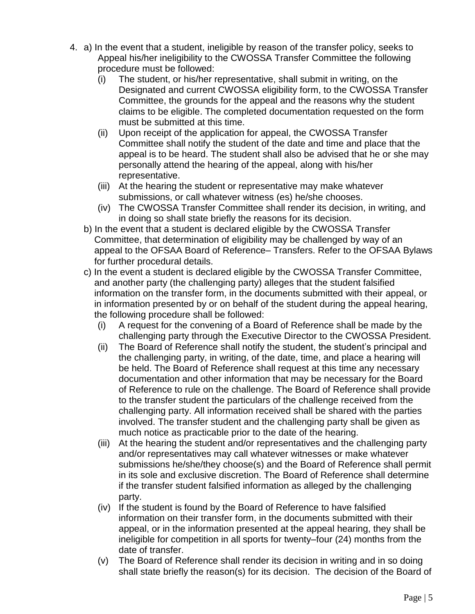- 4. a) In the event that a student, ineligible by reason of the transfer policy, seeks to Appeal his/her ineligibility to the CWOSSA Transfer Committee the following procedure must be followed:
	- (i) The student, or his/her representative, shall submit in writing, on the Designated and current CWOSSA eligibility form, to the CWOSSA Transfer Committee, the grounds for the appeal and the reasons why the student claims to be eligible. The completed documentation requested on the form must be submitted at this time.
	- (ii) Upon receipt of the application for appeal, the CWOSSA Transfer Committee shall notify the student of the date and time and place that the appeal is to be heard. The student shall also be advised that he or she may personally attend the hearing of the appeal, along with his/her representative.
	- (iii) At the hearing the student or representative may make whatever submissions, or call whatever witness (es) he/she chooses.
	- (iv) The CWOSSA Transfer Committee shall render its decision, in writing, and in doing so shall state briefly the reasons for its decision.
	- b) In the event that a student is declared eligible by the CWOSSA Transfer Committee, that determination of eligibility may be challenged by way of an appeal to the OFSAA Board of Reference– Transfers. Refer to the OFSAA Bylaws for further procedural details.
	- c) In the event a student is declared eligible by the CWOSSA Transfer Committee, and another party (the challenging party) alleges that the student falsified information on the transfer form, in the documents submitted with their appeal, or in information presented by or on behalf of the student during the appeal hearing, the following procedure shall be followed:
		- (i) A request for the convening of a Board of Reference shall be made by the challenging party through the Executive Director to the CWOSSA President.
		- (ii) The Board of Reference shall notify the student, the student's principal and the challenging party, in writing, of the date, time, and place a hearing will be held. The Board of Reference shall request at this time any necessary documentation and other information that may be necessary for the Board of Reference to rule on the challenge. The Board of Reference shall provide to the transfer student the particulars of the challenge received from the challenging party. All information received shall be shared with the parties involved. The transfer student and the challenging party shall be given as much notice as practicable prior to the date of the hearing.
		- (iii) At the hearing the student and/or representatives and the challenging party and/or representatives may call whatever witnesses or make whatever submissions he/she/they choose(s) and the Board of Reference shall permit in its sole and exclusive discretion. The Board of Reference shall determine if the transfer student falsified information as alleged by the challenging party.
		- (iv) If the student is found by the Board of Reference to have falsified information on their transfer form, in the documents submitted with their appeal, or in the information presented at the appeal hearing, they shall be ineligible for competition in all sports for twenty–four (24) months from the date of transfer.
		- (v) The Board of Reference shall render its decision in writing and in so doing shall state briefly the reason(s) for its decision. The decision of the Board of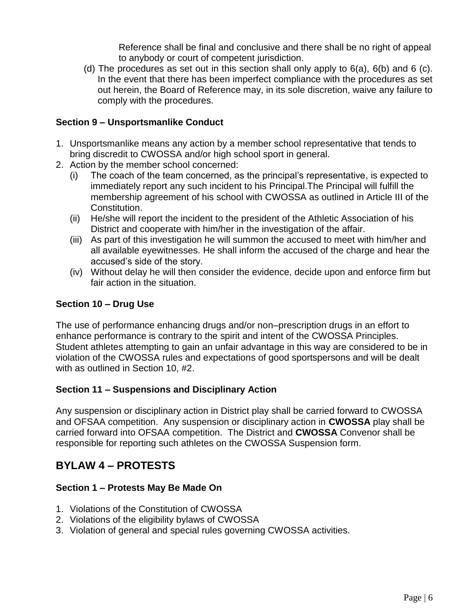Reference shall be final and conclusive and there shall be no right of appeal to anybody or court of competent jurisdiction.

(d) The procedures as set out in this section shall only apply to  $6(a)$ ,  $6(b)$  and  $6(c)$ . In the event that there has been imperfect compliance with the procedures as set out herein, the Board of Reference may, in its sole discretion, waive any failure to comply with the procedures.

#### **Section 9 – Unsportsmanlike Conduct**

- 1. Unsportsmanlike means any action by a member school representative that tends to bring discredit to CWOSSA and/or high school sport in general.
- 2. Action by the member school concerned:
	- (i) The coach of the team concerned, as the principal's representative, is expected to immediately report any such incident to his Principal.The Principal will fulfill the membership agreement of his school with CWOSSA as outlined in Article III of the Constitution.
	- (ii) He/she will report the incident to the president of the Athletic Association of his District and cooperate with him/her in the investigation of the affair.
	- (iii) As part of this investigation he will summon the accused to meet with him/her and all available eyewitnesses. He shall inform the accused of the charge and hear the accused's side of the story.
	- (iv) Without delay he will then consider the evidence, decide upon and enforce firm but fair action in the situation.

#### **Section 10 – Drug Use**

The use of performance enhancing drugs and/or non–prescription drugs in an effort to enhance performance is contrary to the spirit and intent of the CWOSSA Principles. Student athletes attempting to gain an unfair advantage in this way are considered to be in violation of the CWOSSA rules and expectations of good sportspersons and will be dealt with as outlined in Section 10, #2.

#### **Section 11 – Suspensions and Disciplinary Action**

Any suspension or disciplinary action in District play shall be carried forward to CWOSSA and OFSAA competition. Any suspension or disciplinary action in **CWOSSA** play shall be carried forward into OFSAA competition. The District and **CWOSSA** Convenor shall be responsible for reporting such athletes on the CWOSSA Suspension form.

## **BYLAW 4 – PROTESTS**

#### **Section 1 – Protests May Be Made On**

- 1. Violations of the Constitution of CWOSSA
- 2. Violations of the eligibility bylaws of CWOSSA
- 3. Violation of general and special rules governing CWOSSA activities.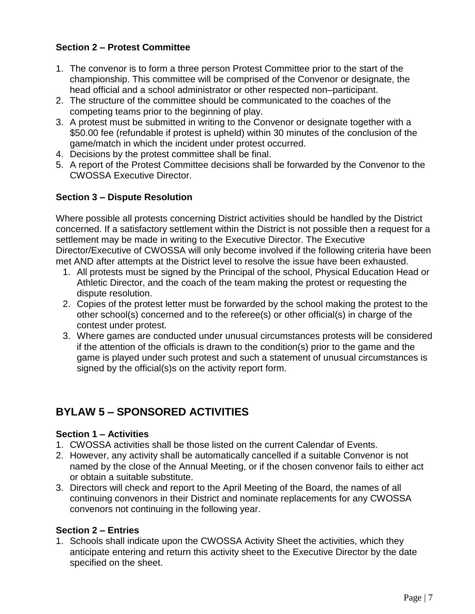#### **Section 2 – Protest Committee**

- 1. The convenor is to form a three person Protest Committee prior to the start of the championship. This committee will be comprised of the Convenor or designate, the head official and a school administrator or other respected non–participant.
- 2. The structure of the committee should be communicated to the coaches of the competing teams prior to the beginning of play.
- 3. A protest must be submitted in writing to the Convenor or designate together with a \$50.00 fee (refundable if protest is upheld) within 30 minutes of the conclusion of the game/match in which the incident under protest occurred.
- 4. Decisions by the protest committee shall be final.
- 5. A report of the Protest Committee decisions shall be forwarded by the Convenor to the CWOSSA Executive Director.

#### **Section 3 – Dispute Resolution**

Where possible all protests concerning District activities should be handled by the District concerned. If a satisfactory settlement within the District is not possible then a request for a settlement may be made in writing to the Executive Director. The Executive Director/Executive of CWOSSA will only become involved if the following criteria have been met AND after attempts at the District level to resolve the issue have been exhausted.

- 1. All protests must be signed by the Principal of the school, Physical Education Head or Athletic Director, and the coach of the team making the protest or requesting the dispute resolution.
- 2. Copies of the protest letter must be forwarded by the school making the protest to the other school(s) concerned and to the referee(s) or other official(s) in charge of the contest under protest.
- 3. Where games are conducted under unusual circumstances protests will be considered if the attention of the officials is drawn to the condition(s) prior to the game and the game is played under such protest and such a statement of unusual circumstances is signed by the official(s)s on the activity report form.

# **BYLAW 5 – SPONSORED ACTIVITIES**

#### **Section 1 – Activities**

- 1. CWOSSA activities shall be those listed on the current Calendar of Events.
- 2. However, any activity shall be automatically cancelled if a suitable Convenor is not named by the close of the Annual Meeting, or if the chosen convenor fails to either act or obtain a suitable substitute.
- 3. Directors will check and report to the April Meeting of the Board, the names of all continuing convenors in their District and nominate replacements for any CWOSSA convenors not continuing in the following year.

#### **Section 2 – Entries**

1. Schools shall indicate upon the CWOSSA Activity Sheet the activities, which they anticipate entering and return this activity sheet to the Executive Director by the date specified on the sheet.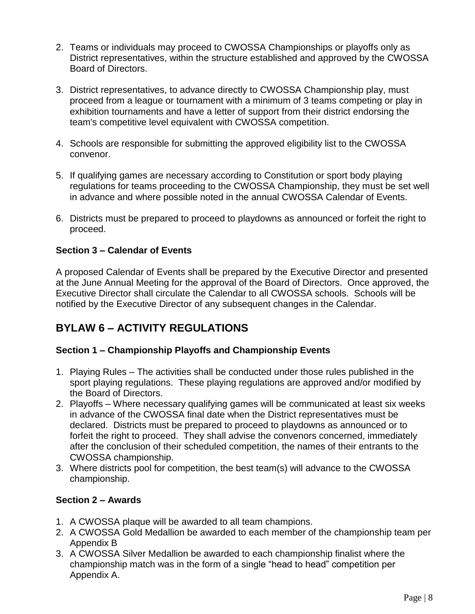- 2. Teams or individuals may proceed to CWOSSA Championships or playoffs only as District representatives, within the structure established and approved by the CWOSSA Board of Directors.
- 3. District representatives, to advance directly to CWOSSA Championship play, must proceed from a league or tournament with a minimum of 3 teams competing or play in exhibition tournaments and have a letter of support from their district endorsing the team's competitive level equivalent with CWOSSA competition.
- 4. Schools are responsible for submitting the approved eligibility list to the CWOSSA convenor.
- 5. If qualifying games are necessary according to Constitution or sport body playing regulations for teams proceeding to the CWOSSA Championship, they must be set well in advance and where possible noted in the annual CWOSSA Calendar of Events.
- 6. Districts must be prepared to proceed to playdowns as announced or forfeit the right to proceed.

#### **Section 3 – Calendar of Events**

A proposed Calendar of Events shall be prepared by the Executive Director and presented at the June Annual Meeting for the approval of the Board of Directors. Once approved, the Executive Director shall circulate the Calendar to all CWOSSA schools. Schools will be notified by the Executive Director of any subsequent changes in the Calendar.

## **BYLAW 6 – ACTIVITY REGULATIONS**

#### **Section 1 – Championship Playoffs and Championship Events**

- 1. Playing Rules The activities shall be conducted under those rules published in the sport playing regulations. These playing regulations are approved and/or modified by the Board of Directors.
- 2. Playoffs Where necessary qualifying games will be communicated at least six weeks in advance of the CWOSSA final date when the District representatives must be declared. Districts must be prepared to proceed to playdowns as announced or to forfeit the right to proceed. They shall advise the convenors concerned, immediately after the conclusion of their scheduled competition, the names of their entrants to the CWOSSA championship.
- 3. Where districts pool for competition, the best team(s) will advance to the CWOSSA championship.

#### **Section 2 – Awards**

- 1. A CWOSSA plaque will be awarded to all team champions.
- 2. A CWOSSA Gold Medallion be awarded to each member of the championship team per Appendix B
- 3. A CWOSSA Silver Medallion be awarded to each championship finalist where the championship match was in the form of a single "head to head" competition per Appendix A.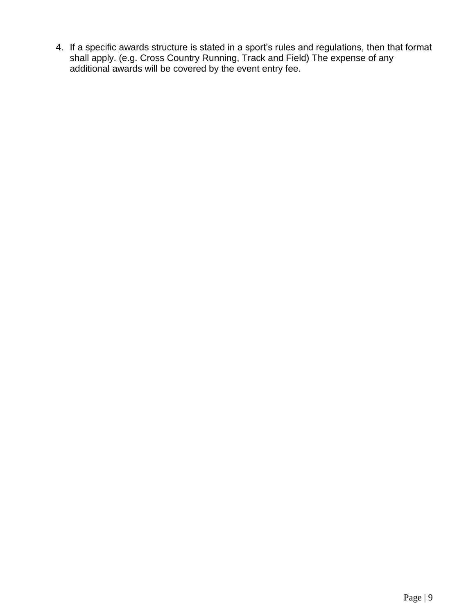4. If a specific awards structure is stated in a sport's rules and regulations, then that format shall apply. (e.g. Cross Country Running, Track and Field) The expense of any additional awards will be covered by the event entry fee.